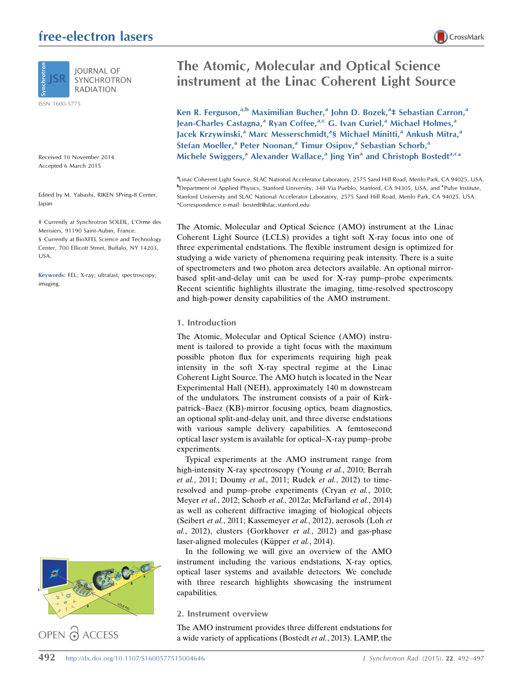# free-electron lasers



**RADIATION** 

ISSN 1600-5775

Received 10 November 2014 Accepted 6 March 2015

Edited by M. Yabashi, RIKEN SPring-8 Center, Japan

‡ Currently at Synchrotron SOLEIL, L'Orme des Merisiers, 91190 Saint-Aubin, France. § Currently at BioXFEL Science and Technology Center, 700 Ellicott Street, Buffalo, NY 14203, USA.

Keywords: FEL; X-ray; ultrafast; spectroscopy; imaging.



OPEN @ ACCESS

# The Atomic, Molecular and Optical Science instrument at the Linac Coherent Light Source

Ken R. Ferguson,<sup>a,b</sup> Maximilian Bucher,<sup>a</sup> John D. Bozek,<sup>a</sup>‡ Sebastian Carron,<sup>a</sup> Jean-Charles Castagna,<sup>a</sup> Ryan Coffee,<sup>a,c</sup> G. Ivan Curiel,<sup>a</sup> Michael Holmes,<sup>a</sup> Jacek Krzywinski,<sup>a</sup> Marc Messerschmidt,<sup>a</sup>§ Michael Minitti,<sup>a</sup> Ankush Mitra,<sup>a</sup> Stefan Moeller,<sup>a</sup> Peter Noonan,<sup>a</sup> Timur Osipov,<sup>a</sup> Sebastian Schorb,<sup>a</sup> Michele Swiggers,<sup>a</sup> Alexander Wallace,<sup>a</sup> Jing Yin<sup>a</sup> and Christoph Bostedt<sup>a,c\*</sup>

a Linac Coherent Light Source, SLAC National Accelerator Laboratory, 2575 Sand Hill Road, Menlo Park, CA 94025, USA, **b** Department of Applied Physics, Stanford University, 348 Via Pueblo, Stanford, CA 94305, USA, and <sup>c</sup>Pulse Institute, Stanford University and SLAC National Accelerator Laboratory, 2575 Sand Hill Road, Menlo Park, CA 94025, USA. \*Correspondence e-mail: bostedt@slac.stanford.edu

The Atomic, Molecular and Optical Science (AMO) instrument at the Linac Coherent Light Source (LCLS) provides a tight soft X-ray focus into one of three experimental endstations. The flexible instrument design is optimized for studying a wide variety of phenomena requiring peak intensity. There is a suite of spectrometers and two photon area detectors available. An optional mirrorbased split-and-delay unit can be used for X-ray pump–probe experiments. Recent scientific highlights illustrate the imaging, time-resolved spectroscopy and high-power density capabilities of the AMO instrument.

#### 1. Introduction

The Atomic, Molecular and Optical Science (AMO) instrument is tailored to provide a tight focus with the maximum possible photon flux for experiments requiring high peak intensity in the soft X-ray spectral regime at the Linac Coherent Light Source. The AMO hutch is located in the Near Experimental Hall (NEH), approximately 140 m downstream of the undulators. The instrument consists of a pair of Kirkpatrick–Baez (KB)-mirror focusing optics, beam diagnostics, an optional split-and-delay unit, and three diverse endstations with various sample delivery capabilities. A femtosecond optical laser system is available for optical–X-ray pump–probe experiments.

Typical experiments at the AMO instrument range from high-intensity X-ray spectroscopy (Young et al., 2010; Berrah et al., 2011; Doumy et al., 2011; Rudek et al., 2012) to timeresolved and pump–probe experiments (Cryan et al., 2010; Meyer et al., 2012; Schorb et al., 2012a; McFarland et al., 2014) as well as coherent diffractive imaging of biological objects (Seibert et al., 2011; Kassemeyer et al., 2012), aerosols (Loh et al., 2012), clusters (Gorkhover et al., 2012) and gas-phase laser-aligned molecules (Küpper *et al.*, 2014).

In the following we will give an overview of the AMO instrument including the various endstations, X-ray optics, optical laser systems and available detectors. We conclude with three research highlights showcasing the instrument capabilities.

#### 2. Instrument overview

The AMO instrument provides three different endstations for a wide variety of applications (Bostedt et al., 2013). LAMP, the

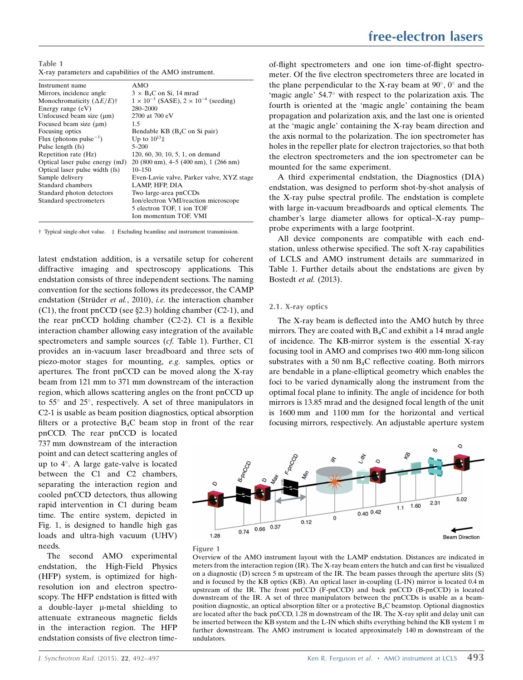Table 1 X-ray parameters and capabilities of the AMO instrument.

| Instrument name                                  | AMO                                                     |
|--------------------------------------------------|---------------------------------------------------------|
| Mirrors, incidence angle                         | $3 \times B_4C$ on Si, 14 mrad                          |
| Monochromaticity $(\Delta E/E)^{+}$              | $1 \times 10^{-3}$ (SASE), $2 \times 10^{-4}$ (seeding) |
| Energy range $(eV)$                              | 280-2000                                                |
| Unfocused beam size $(\mu m)$                    | 2700 at 700 eV                                          |
| Focused beam size $(\mu m)$                      | 1.5                                                     |
| Focusing optics                                  | Bendable KB (B <sub>4</sub> C on Si pair)               |
| Flux (photons pulse <sup><math>-1</math></sup> ) | Up to $10^{13}$ ±                                       |
| Pulse length (fs)                                | $5 - 200$                                               |
| Repetition rate (Hz)                             | 120, 60, 30, 10, 5, 1, on demand                        |
| Optical laser pulse energy (mJ)                  | $20(800 \text{ nm})$ , 4–5 (400 nm), 1 (266 nm)         |
| Optical laser pulse width (fs)                   | $10 - 150$                                              |
| Sample delivery                                  | Even-Lavie valve, Parker valve, XYZ stage               |
| Standard chambers                                | LAMP, HFP, DIA                                          |
| Standard photon detectors                        | Two large-area pnCCDs                                   |
| Standard spectrometers                           | Ion/electron VMI/reaction microscope                    |
|                                                  | 5 electron TOF, 1 ion TOF                               |
|                                                  | Ion momentum TOF, VMI                                   |
|                                                  |                                                         |

† Typical single-shot value. ‡ Excluding beamline and instrument transmission.

latest endstation addition, is a versatile setup for coherent diffractive imaging and spectroscopy applications. This endstation consists of three independent sections. The naming convention for the sections follows its predecessor, the CAMP endstation (Strüder et al., 2010), *i.e.* the interaction chamber  $(C1)$ , the front pnCCD (see §2.3) holding chamber  $(C2-1)$ , and the rear pnCCD holding chamber (C2-2). C1 is a flexible interaction chamber allowing easy integration of the available spectrometers and sample sources (cf. Table 1). Further, C1 provides an in-vacuum laser breadboard and three sets of piezo-motor stages for mounting, e.g. samples, optics or apertures. The front pnCCD can be moved along the X-ray beam from 121 mm to 371 mm downstream of the interaction region, which allows scattering angles on the front pnCCD up to 55° and 25°, respectively. A set of three manipulators in C2-1 is usable as beam position diagnostics, optical absorption filters or a protective  $B_4C$  beam stop in front of the rear

pnCCD. The rear pnCCD is located 737 mm downstream of the interaction point and can detect scattering angles of up to 4°. A large gate-valve is located between the C1 and C2 chambers, separating the interaction region and cooled pnCCD detectors, thus allowing rapid intervention in C1 during beam time. The entire system, depicted in Fig. 1, is designed to handle high gas loads and ultra-high vacuum (UHV) needs.

The second AMO experimental endstation, the High-Field Physics (HFP) system, is optimized for highresolution ion and electron spectroscopy. The HFP endstation is fitted with a double-layer  $\mu$ -metal shielding to attenuate extraneous magnetic fields in the interaction region. The HFP endstation consists of five electron timeof-flight spectrometers and one ion time-of-flight spectrometer. Of the five electron spectrometers three are located in the plane perpendicular to the X-ray beam at  $90^{\circ}$ ,  $0^{\circ}$  and the 'magic angle' 54.7° with respect to the polarization axis. The fourth is oriented at the 'magic angle' containing the beam propagation and polarization axis, and the last one is oriented at the 'magic angle' containing the X-ray beam direction and the axis normal to the polarization. The ion spectrometer has holes in the repeller plate for electron trajectories, so that both the electron spectrometers and the ion spectrometer can be mounted for the same experiment.

A third experimental endstation, the Diagnostics (DIA) endstation, was designed to perform shot-by-shot analysis of the X-ray pulse spectral profile. The endstation is complete with large in-vacuum breadboards and optical elements. The chamber's large diameter allows for optical–X-ray pump– probe experiments with a large footprint.

All device components are compatible with each endstation, unless otherwise specified. The soft X-ray capabilities of LCLS and AMO instrument details are summarized in Table 1. Further details about the endstations are given by Bostedt et al. (2013).

#### 2.1. X-ray optics

The X-ray beam is deflected into the AMO hutch by three mirrors. They are coated with  $B_4C$  and exhibit a 14 mrad angle of incidence. The KB-mirror system is the essential X-ray focusing tool in AMO and comprises two 400 mm-long silicon substrates with a 50 nm B4C reflective coating. Both mirrors are bendable in a plane-elliptical geometry which enables the foci to be varied dynamically along the instrument from the optimal focal plane to infinity. The angle of incidence for both mirrors is 13.85 mrad and the designed focal length of the unit is 1600 mm and 1100 mm for the horizontal and vertical focusing mirrors, respectively. An adjustable aperture system





Overview of the AMO instrument layout with the LAMP endstation. Distances are indicated in meters from the interaction region (IR). The X-ray beam enters the hutch and can first be visualized on a diagnostic  $(D)$  screen 5 m upstream of the IR. The beam passes through the aperture slits  $(S)$ and is focused by the KB optics (KB). An optical laser in-coupling (L-IN) mirror is located 0.4 m upstream of the IR. The front pnCCD (F-pnCCD) and back pnCCD (B-pnCCD) is located downstream of the IR. A set of three manipulators between the pnCCDs is usable as a beamposition diagnostic, an optical absorption filter or a protective B4C beamstop. Optional diagnostics are located after the back pnCCD, 1.28 m downstream of the IR. The X-ray split and delay unit can be inserted between the KB system and the L-IN which shifts everything behind the KB system 1 m further downstream. The AMO instrument is located approximately 140 m downstream of the undulators.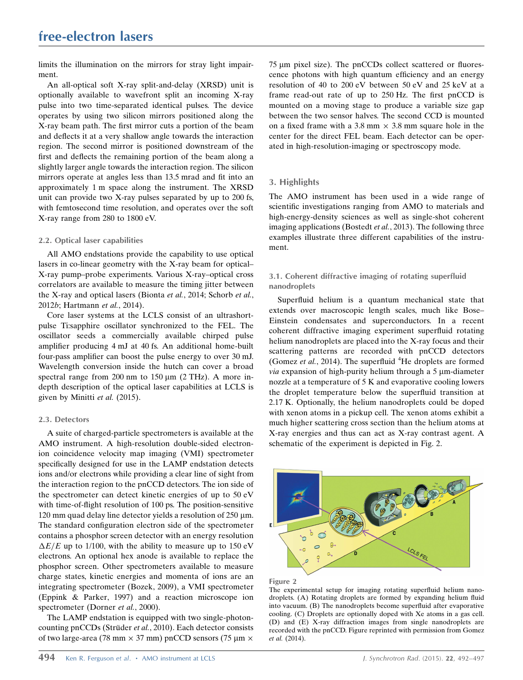limits the illumination on the mirrors for stray light impairment.

An all-optical soft X-ray split-and-delay (XRSD) unit is optionally available to wavefront split an incoming X-ray pulse into two time-separated identical pulses. The device operates by using two silicon mirrors positioned along the X-ray beam path. The first mirror cuts a portion of the beam and deflects it at a very shallow angle towards the interaction region. The second mirror is positioned downstream of the first and deflects the remaining portion of the beam along a slightly larger angle towards the interaction region. The silicon mirrors operate at angles less than 13.5 mrad and fit into an approximately 1 m space along the instrument. The XRSD unit can provide two X-ray pulses separated by up to 200 fs, with femtosecond time resolution, and operates over the soft X-ray range from 280 to 1800 eV.

#### 2.2. Optical laser capabilities

All AMO endstations provide the capability to use optical lasers in co-linear geometry with the X-ray beam for optical– X-ray pump–probe experiments. Various X-ray–optical cross correlators are available to measure the timing jitter between the X-ray and optical lasers (Bionta et al., 2014; Schorb et al., 2012b; Hartmann et al., 2014).

Core laser systems at the LCLS consist of an ultrashortpulse Ti:sapphire oscillator synchronized to the FEL. The oscillator seeds a commercially available chirped pulse amplifier producing 4 mJ at 40 fs. An additional home-built four-pass amplifier can boost the pulse energy to over 30 mJ. Wavelength conversion inside the hutch can cover a broad spectral range from 200 nm to  $150 \mu m$  (2 THz). A more indepth description of the optical laser capabilities at LCLS is given by Minitti et al. (2015).

#### 2.3. Detectors

A suite of charged-particle spectrometers is available at the AMO instrument. A high-resolution double-sided electronion coincidence velocity map imaging (VMI) spectrometer specifically designed for use in the LAMP endstation detects ions and/or electrons while providing a clear line of sight from the interaction region to the pnCCD detectors. The ion side of the spectrometer can detect kinetic energies of up to 50 eV with time-of-flight resolution of 100 ps. The position-sensitive 120 mm quad delay line detector yields a resolution of 250  $\mu$ m. The standard configuration electron side of the spectrometer contains a phosphor screen detector with an energy resolution  $\Delta E/E$  up to 1/100, with the ability to measure up to 150 eV electrons. An optional hex anode is available to replace the phosphor screen. Other spectrometers available to measure charge states, kinetic energies and momenta of ions are an integrating spectrometer (Bozek, 2009), a VMI spectrometer (Eppink & Parker, 1997) and a reaction microscope ion spectrometer (Dorner et al., 2000).

The LAMP endstation is equipped with two single-photoncounting pnCCDs (Strüder et al., 2010). Each detector consists of two large-area (78 mm  $\times$  37 mm) pnCCD sensors (75 µm  $\times$ 

 $75 \mu m$  pixel size). The pnCCDs collect scattered or fluorescence photons with high quantum efficiency and an energy resolution of 40 to 200 eV between 50 eV and 25 keV at a frame read-out rate of up to 250 Hz. The first pnCCD is mounted on a moving stage to produce a variable size gap between the two sensor halves. The second CCD is mounted on a fixed frame with a 3.8 mm  $\times$  3.8 mm square hole in the center for the direct FEL beam. Each detector can be operated in high-resolution-imaging or spectroscopy mode.

#### 3. Highlights

The AMO instrument has been used in a wide range of scientific investigations ranging from AMO to materials and high-energy-density sciences as well as single-shot coherent imaging applications (Bostedt et al., 2013). The following three examples illustrate three different capabilities of the instrument.

## 3.1. Coherent diffractive imaging of rotating superfluid nanodroplets

Superfluid helium is a quantum mechanical state that extends over macroscopic length scales, much like Bose– Einstein condensates and superconductors. In a recent coherent diffractive imaging experiment superfluid rotating helium nanodroplets are placed into the X-ray focus and their scattering patterns are recorded with pnCCD detectors (Gomez et al., 2014). The superfluid  ${}^{4}$ He droplets are formed  $via$  expansion of high-purity helium through a 5  $\mu$ m-diameter nozzle at a temperature of 5 K and evaporative cooling lowers the droplet temperature below the superfluid transition at 2.17 K. Optionally, the helium nanodroplets could be doped with xenon atoms in a pickup cell. The xenon atoms exhibit a much higher scattering cross section than the helium atoms at X-ray energies and thus can act as X-ray contrast agent. A schematic of the experiment is depicted in Fig. 2.





The experimental setup for imaging rotating superfluid helium nanodroplets. (A) Rotating droplets are formed by expanding helium fluid into vacuum. (B) The nanodroplets become superfluid after evaporative cooling. (C) Droplets are optionally doped with Xe atoms in a gas cell. (D) and (E) X-ray diffraction images from single nanodroplets are recorded with the pnCCD. Figure reprinted with permission from Gomez et al. (2014).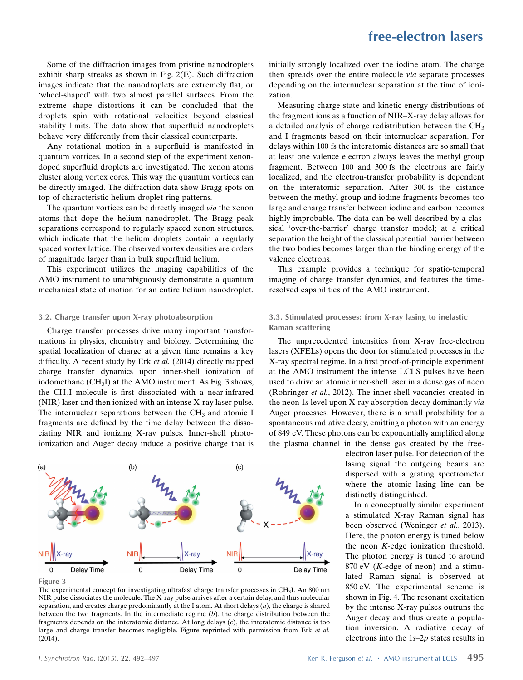Some of the diffraction images from pristine nanodroplets exhibit sharp streaks as shown in Fig. 2(E). Such diffraction images indicate that the nanodroplets are extremely flat, or 'wheel-shaped' with two almost parallel surfaces. From the extreme shape distortions it can be concluded that the droplets spin with rotational velocities beyond classical stability limits. The data show that superfluid nanodroplets behave very differently from their classical counterparts.

Any rotational motion in a superfluid is manifested in quantum vortices. In a second step of the experiment xenondoped superfluid droplets are investigated. The xenon atoms cluster along vortex cores. This way the quantum vortices can be directly imaged. The diffraction data show Bragg spots on top of characteristic helium droplet ring patterns.

The quantum vortices can be directly imaged *via* the xenon atoms that dope the helium nanodroplet. The Bragg peak separations correspond to regularly spaced xenon structures, which indicate that the helium droplets contain a regularly spaced vortex lattice. The observed vortex densities are orders of magnitude larger than in bulk superfluid helium.

This experiment utilizes the imaging capabilities of the AMO instrument to unambiguously demonstrate a quantum mechanical state of motion for an entire helium nanodroplet.

#### 3.2. Charge transfer upon X-ray photoabsorption

Charge transfer processes drive many important transformations in physics, chemistry and biology. Determining the spatial localization of charge at a given time remains a key difficulty. A recent study by Erk et al. (2014) directly mapped charge transfer dynamics upon inner-shell ionization of iodomethane (CH<sub>3</sub>I) at the AMO instrument. As Fig. 3 shows, the CH3I molecule is first dissociated with a near-infrared (NIR) laser and then ionized with an intense X-ray laser pulse. The internuclear separations between the  $CH<sub>3</sub>$  and atomic I fragments are defined by the time delay between the dissociating NIR and ionizing X-ray pulses. Inner-shell photoionization and Auger decay induce a positive charge that is



Figure 3

initially strongly localized over the iodine atom. The charge then spreads over the entire molecule via separate processes depending on the internuclear separation at the time of ionization.

Measuring charge state and kinetic energy distributions of the fragment ions as a function of NIR–X-ray delay allows for a detailed analysis of charge redistribution between the  $CH<sub>3</sub>$ and I fragments based on their internuclear separation. For delays within 100 fs the interatomic distances are so small that at least one valence electron always leaves the methyl group fragment. Between 100 and 300 fs the electrons are fairly localized, and the electron-transfer probability is dependent on the interatomic separation. After 300 fs the distance between the methyl group and iodine fragments becomes too large and charge transfer between iodine and carbon becomes highly improbable. The data can be well described by a classical 'over-the-barrier' charge transfer model; at a critical separation the height of the classical potential barrier between the two bodies becomes larger than the binding energy of the valence electrons.

This example provides a technique for spatio-temporal imaging of charge transfer dynamics, and features the timeresolved capabilities of the AMO instrument.

## 3.3. Stimulated processes: from X-ray lasing to inelastic Raman scattering

The unprecedented intensities from X-ray free-electron lasers (XFELs) opens the door for stimulated processes in the X-ray spectral regime. In a first proof-of-principle experiment at the AMO instrument the intense LCLS pulses have been used to drive an atomic inner-shell laser in a dense gas of neon (Rohringer et al., 2012). The inner-shell vacancies created in the neon 1s level upon X-ray absorption decay dominantly via Auger processes. However, there is a small probability for a spontaneous radiative decay, emitting a photon with an energy of 849 eV. These photons can be exponentially amplified along the plasma channel in the dense gas created by the free-

> electron laser pulse. For detection of the lasing signal the outgoing beams are dispersed with a grating spectrometer where the atomic lasing line can be distinctly distinguished.

> In a conceptually similar experiment a stimulated X-ray Raman signal has been observed (Weninger et al., 2013). Here, the photon energy is tuned below the neon K-edge ionization threshold. The photon energy is tuned to around  $870$  eV (*K*-edge of neon) and a stimulated Raman signal is observed at 850 eV. The experimental scheme is shown in Fig. 4. The resonant excitation by the intense X-ray pulses outruns the Auger decay and thus create a population inversion. A radiative decay of electrons into the 1s–2p states results in

The experimental concept for investigating ultrafast charge transfer processes in CH3I. An 800 nm NIR pulse dissociates the molecule. The X-ray pulse arrives after a certain delay, and thus molecular separation, and creates charge predominantly at the I atom. At short delays  $(a)$ , the charge is shared between the two fragments. In the intermediate regime  $(b)$ , the charge distribution between the fragments depends on the interatomic distance. At long delays (c), the interatomic distance is too large and charge transfer becomes negligible. Figure reprinted with permission from Erk et al. (2014).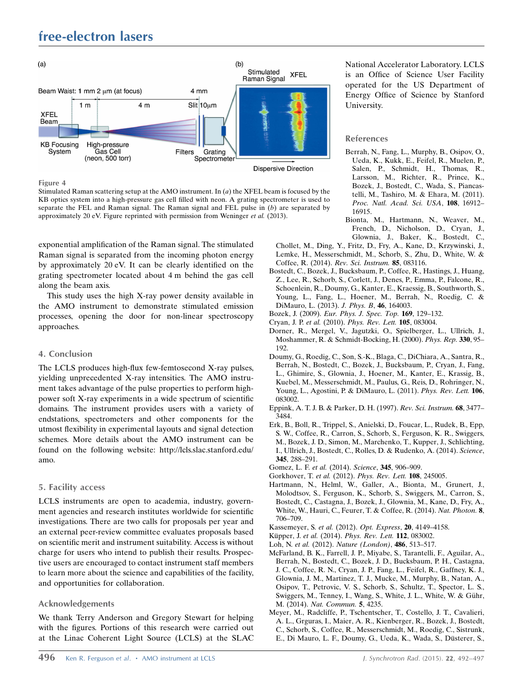

Figure 4

Stimulated Raman scattering setup at the AMO instrument. In  $(a)$  the XFEL beam is focused by the KB optics system into a high-pressure gas cell filled with neon. A grating spectrometer is used to separate the FEL and Raman signal. The Raman signal and FEL pulse in  $(b)$  are separated by approximately 20 eV. Figure reprinted with permission from Weninger et al. (2013).

exponential amplification of the Raman signal. The stimulated Raman signal is separated from the incoming photon energy by approximately 20 eV. It can be clearly identified on the grating spectrometer located about 4 m behind the gas cell along the beam axis.

This study uses the high X-ray power density available in the AMO instrument to demonstrate stimulated emission processes, opening the door for non-linear spectroscopy approaches.

## 4. Conclusion

The LCLS produces high-flux few-femtosecond X-ray pulses, yielding unprecedented X-ray intensities. The AMO instrument takes advantage of the pulse properties to perform highpower soft X-ray experiments in a wide spectrum of scientific domains. The instrument provides users with a variety of endstations, spectrometers and other components for the utmost flexibility in experimental layouts and signal detection schemes. More details about the AMO instrument can be found on the following website: http://lcls.slac.stanford.edu/ amo.

## 5. Facility access

LCLS instruments are open to academia, industry, government agencies and research institutes worldwide for scientific investigations. There are two calls for proposals per year and an external peer-review committee evaluates proposals based on scientific merit and instrument suitability. Access is without charge for users who intend to publish their results. Prospective users are encouraged to contact instrument staff members to learn more about the science and capabilities of the facility, and opportunities for collaboration.

## Acknowledgements

We thank Terry Anderson and Gregory Stewart for helping with the figures. Portions of this research were carried out at the Linac Coherent Light Source (LCLS) at the SLAC National Accelerator Laboratory. LCLS is an Office of Science User Facility operated for the US Department of Energy Office of Science by Stanford University.

## References

- [Berrah, N., Fang, L., Murphy, B., Osipov, O.,](http://scripts.iucr.org/cgi-bin/cr.cgi?rm=pdfbb&cnor=yi5001&bbid=BB1) [Ueda, K., Kukk, E., Feifel, R., Muelen, P.,](http://scripts.iucr.org/cgi-bin/cr.cgi?rm=pdfbb&cnor=yi5001&bbid=BB1) [Salen, P., Schmidt, H., Thomas, R.,](http://scripts.iucr.org/cgi-bin/cr.cgi?rm=pdfbb&cnor=yi5001&bbid=BB1) [Larsson, M., Richter, R., Prince, K.,](http://scripts.iucr.org/cgi-bin/cr.cgi?rm=pdfbb&cnor=yi5001&bbid=BB1) [Bozek, J., Bostedt, C., Wada, S., Piancas](http://scripts.iucr.org/cgi-bin/cr.cgi?rm=pdfbb&cnor=yi5001&bbid=BB1)[telli, M., Tashiro, M. & Ehara, M. \(2011\).](http://scripts.iucr.org/cgi-bin/cr.cgi?rm=pdfbb&cnor=yi5001&bbid=BB1) [Proc. Natl. Acad. Sci. USA](http://scripts.iucr.org/cgi-bin/cr.cgi?rm=pdfbb&cnor=yi5001&bbid=BB1), 108, 16912– [16915.](http://scripts.iucr.org/cgi-bin/cr.cgi?rm=pdfbb&cnor=yi5001&bbid=BB1)
- [Bionta, M., Hartmann, N., Weaver, M.,](http://scripts.iucr.org/cgi-bin/cr.cgi?rm=pdfbb&cnor=yi5001&bbid=BB2) [French, D., Nicholson, D., Cryan, J.,](http://scripts.iucr.org/cgi-bin/cr.cgi?rm=pdfbb&cnor=yi5001&bbid=BB2) [Glownia, J., Baker, K., Bostedt, C.,](http://scripts.iucr.org/cgi-bin/cr.cgi?rm=pdfbb&cnor=yi5001&bbid=BB2)
- [Chollet, M., Ding, Y., Fritz, D., Fry, A., Kane, D., Krzywinski, J.,](http://scripts.iucr.org/cgi-bin/cr.cgi?rm=pdfbb&cnor=yi5001&bbid=BB2) [Lemke, H., Messerschmidt, M., Schorb, S., Zhu, D., White, W. &](http://scripts.iucr.org/cgi-bin/cr.cgi?rm=pdfbb&cnor=yi5001&bbid=BB2) [Coffee, R. \(2014\).](http://scripts.iucr.org/cgi-bin/cr.cgi?rm=pdfbb&cnor=yi5001&bbid=BB2) Rev. Sci. Instrum. 85, 083116.
- [Bostedt, C., Bozek, J., Bucksbaum, P., Coffee, R., Hastings, J., Huang,](http://scripts.iucr.org/cgi-bin/cr.cgi?rm=pdfbb&cnor=yi5001&bbid=BB3) [Z., Lee, R., Schorb, S., Corlett, J., Denes, P., Emma, P., Falcone, R.,](http://scripts.iucr.org/cgi-bin/cr.cgi?rm=pdfbb&cnor=yi5001&bbid=BB3) [Schoenlein, R., Doumy, G., Kanter, E., Kraessig, B., Southworth, S.,](http://scripts.iucr.org/cgi-bin/cr.cgi?rm=pdfbb&cnor=yi5001&bbid=BB3) [Young, L., Fang, L., Hoener, M., Berrah, N., Roedig, C. &](http://scripts.iucr.org/cgi-bin/cr.cgi?rm=pdfbb&cnor=yi5001&bbid=BB3) [DiMauro, L. \(2013\).](http://scripts.iucr.org/cgi-bin/cr.cgi?rm=pdfbb&cnor=yi5001&bbid=BB3) J. Phys. B, 46, 164003.
- Bozek, J. (2009). [Eur. Phys. J. Spec. Top.](http://scripts.iucr.org/cgi-bin/cr.cgi?rm=pdfbb&cnor=yi5001&bbid=BB4) 169, 129–132.
- Cryan, J. P. et al. (2010). [Phys. Rev. Lett.](http://scripts.iucr.org/cgi-bin/cr.cgi?rm=pdfbb&cnor=yi5001&bbid=BB5) 105, 083004.
- [Dorner, R., Mergel, V., Jagutzki, O., Spielberger, L., Ullrich, J.,](http://scripts.iucr.org/cgi-bin/cr.cgi?rm=pdfbb&cnor=yi5001&bbid=BB6) [Moshammer, R. & Schmidt-Bocking, H. \(2000\).](http://scripts.iucr.org/cgi-bin/cr.cgi?rm=pdfbb&cnor=yi5001&bbid=BB6) Phys. Rep. 330, 95– [192.](http://scripts.iucr.org/cgi-bin/cr.cgi?rm=pdfbb&cnor=yi5001&bbid=BB6)
- [Doumy, G., Roedig, C., Son, S.-K., Blaga, C., DiChiara, A., Santra, R.,](http://scripts.iucr.org/cgi-bin/cr.cgi?rm=pdfbb&cnor=yi5001&bbid=BB7) [Berrah, N., Bostedt, C., Bozek, J., Bucksbaum, P., Cryan, J., Fang,](http://scripts.iucr.org/cgi-bin/cr.cgi?rm=pdfbb&cnor=yi5001&bbid=BB7) [L., Ghimire, S., Glownia, J., Hoener, M., Kanter, E., Krassig, B.,](http://scripts.iucr.org/cgi-bin/cr.cgi?rm=pdfbb&cnor=yi5001&bbid=BB7) [Kuebel, M., Messerschmidt, M., Paulus, G., Reis, D., Rohringer, N.,](http://scripts.iucr.org/cgi-bin/cr.cgi?rm=pdfbb&cnor=yi5001&bbid=BB7) [Young, L., Agostini, P. & DiMauro, L. \(2011\).](http://scripts.iucr.org/cgi-bin/cr.cgi?rm=pdfbb&cnor=yi5001&bbid=BB7) Phys. Rev. Lett. 106, [083002.](http://scripts.iucr.org/cgi-bin/cr.cgi?rm=pdfbb&cnor=yi5001&bbid=BB7)
- [Eppink, A. T. J. B. & Parker, D. H. \(1997\).](http://scripts.iucr.org/cgi-bin/cr.cgi?rm=pdfbb&cnor=yi5001&bbid=BB8) Rev. Sci. Instrum. 68, 3477– [3484.](http://scripts.iucr.org/cgi-bin/cr.cgi?rm=pdfbb&cnor=yi5001&bbid=BB8)
- [Erk, B., Boll, R., Trippel, S., Anielski, D., Foucar, L., Rudek, B., Epp,](http://scripts.iucr.org/cgi-bin/cr.cgi?rm=pdfbb&cnor=yi5001&bbid=BB9) [S. W., Coffee, R., Carron, S., Schorb, S., Ferguson, K. R., Swiggers,](http://scripts.iucr.org/cgi-bin/cr.cgi?rm=pdfbb&cnor=yi5001&bbid=BB9) [M., Bozek, J. D., Simon, M., Marchenko, T., Kupper, J., Schlichting,](http://scripts.iucr.org/cgi-bin/cr.cgi?rm=pdfbb&cnor=yi5001&bbid=BB9) [I., Ullrich, J., Bostedt, C., Rolles, D. & Rudenko, A. \(2014\).](http://scripts.iucr.org/cgi-bin/cr.cgi?rm=pdfbb&cnor=yi5001&bbid=BB9) Science, 345[, 288–291.](http://scripts.iucr.org/cgi-bin/cr.cgi?rm=pdfbb&cnor=yi5001&bbid=BB9)
- [Gomez, L. F.](http://scripts.iucr.org/cgi-bin/cr.cgi?rm=pdfbb&cnor=yi5001&bbid=BB10) et al. (2014). Science, 345, 906-909.
- Gorkhover, T. et al. (2012). [Phys. Rev. Lett.](http://scripts.iucr.org/cgi-bin/cr.cgi?rm=pdfbb&cnor=yi5001&bbid=BB11) 108, 245005.
- [Hartmann, N., Helml, W., Galler, A., Bionta, M., Grunert, J.,](http://scripts.iucr.org/cgi-bin/cr.cgi?rm=pdfbb&cnor=yi5001&bbid=BB12) [Molodtsov, S., Ferguson, K., Schorb, S., Swiggers, M., Carron, S.,](http://scripts.iucr.org/cgi-bin/cr.cgi?rm=pdfbb&cnor=yi5001&bbid=BB12) [Bostedt, C., Castagna, J., Bozek, J., Glownia, M., Kane, D., Fry, A.,](http://scripts.iucr.org/cgi-bin/cr.cgi?rm=pdfbb&cnor=yi5001&bbid=BB12) [White, W., Hauri, C., Feurer, T. & Coffee, R. \(2014\).](http://scripts.iucr.org/cgi-bin/cr.cgi?rm=pdfbb&cnor=yi5001&bbid=BB12) Nat. Photon. 8, [706–709.](http://scripts.iucr.org/cgi-bin/cr.cgi?rm=pdfbb&cnor=yi5001&bbid=BB12)
- [Kassemeyer, S.](http://scripts.iucr.org/cgi-bin/cr.cgi?rm=pdfbb&cnor=yi5001&bbid=BB13) et al. (2012). Opt. Express, 20, 4149–4158.
- Küpper, J. et al. (2014). [Phys. Rev. Lett.](http://scripts.iucr.org/cgi-bin/cr.cgi?rm=pdfbb&cnor=yi5001&bbid=BB14) 112, 083002.
- Loh, N. et al. (2012). [Nature \(London\)](http://scripts.iucr.org/cgi-bin/cr.cgi?rm=pdfbb&cnor=yi5001&bbid=BB15), 486, 513–517.
- [McFarland, B. K., Farrell, J. P., Miyabe, S., Tarantelli, F., Aguilar, A.,](http://scripts.iucr.org/cgi-bin/cr.cgi?rm=pdfbb&cnor=yi5001&bbid=BB16) [Berrah, N., Bostedt, C., Bozek, J. D., Bucksbaum, P. H., Castagna,](http://scripts.iucr.org/cgi-bin/cr.cgi?rm=pdfbb&cnor=yi5001&bbid=BB16) [J. C., Coffee, R. N., Cryan, J. P., Fang, L., Feifel, R., Gaffney, K. J.,](http://scripts.iucr.org/cgi-bin/cr.cgi?rm=pdfbb&cnor=yi5001&bbid=BB16) [Glownia, J. M., Martinez, T. J., Mucke, M., Murphy, B., Natan, A.,](http://scripts.iucr.org/cgi-bin/cr.cgi?rm=pdfbb&cnor=yi5001&bbid=BB16) [Osipov, T., Petrovic, V. S., Schorb, S., Schultz, T., Spector, L. S.,](http://scripts.iucr.org/cgi-bin/cr.cgi?rm=pdfbb&cnor=yi5001&bbid=BB16) Swiggers, M., Tenney, I., Wang, S., White, J. L., White, W. & Gühr, M. (2014). [Nat. Commun.](http://scripts.iucr.org/cgi-bin/cr.cgi?rm=pdfbb&cnor=yi5001&bbid=BB16) 5, 4235.
- [Meyer, M., Radcliffe, P., Tschentscher, T., Costello, J. T., Cavalieri,](http://scripts.iucr.org/cgi-bin/cr.cgi?rm=pdfbb&cnor=yi5001&bbid=BB17) [A. L., Grguras, I., Maier, A. R., Kienberger, R., Bozek, J., Bostedt,](http://scripts.iucr.org/cgi-bin/cr.cgi?rm=pdfbb&cnor=yi5001&bbid=BB17) [C., Schorb, S., Coffee, R., Messerschmidt, M., Roedig, C., Sistrunk,](http://scripts.iucr.org/cgi-bin/cr.cgi?rm=pdfbb&cnor=yi5001&bbid=BB17) E., Di Mauro, L. F., Doumy, G., Ueda, K., Wada, S., Düsterer, S.,